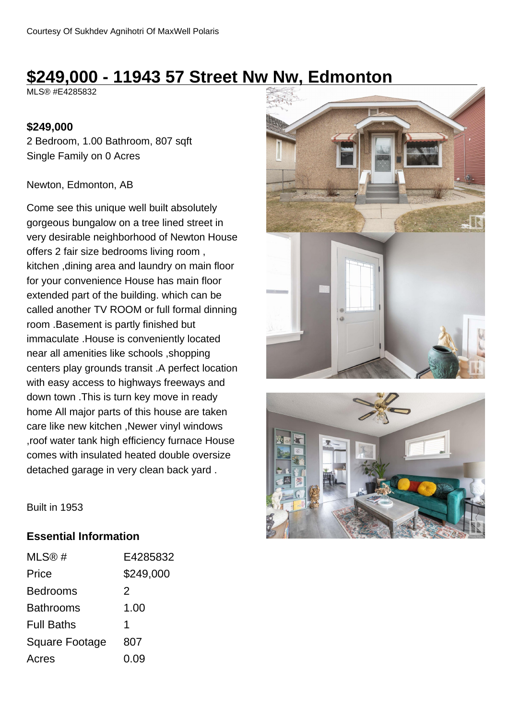# **\$249,000 - 11943 57 Street Nw Nw, Edmonton**

MLS® #E4285832

### **\$249,000**

2 Bedroom, 1.00 Bathroom, 807 sqft Single Family on 0 Acres

#### Newton, Edmonton, AB

Come see this unique well built absolutely gorgeous bungalow on a tree lined street in very desirable neighborhood of Newton House offers 2 fair size bedrooms living room , kitchen ,dining area and laundry on main floor for your convenience House has main floor extended part of the building. which can be called another TV ROOM or full formal dinning room .Basement is partly finished but immaculate .House is conveniently located near all amenities like schools ,shopping centers play grounds transit .A perfect location with easy access to highways freeways and down town .This is turn key move in ready home All major parts of this house are taken care like new kitchen ,Newer vinyl windows ,roof water tank high efficiency furnace House comes with insulated heated double oversize detached garage in very clean back yard .





Built in 1953

### **Essential Information**

| MLS@#                 | E4285832  |
|-----------------------|-----------|
| Price                 | \$249,000 |
| <b>Bedrooms</b>       | 2         |
| <b>Bathrooms</b>      | 1.00      |
| <b>Full Baths</b>     | 1         |
| <b>Square Footage</b> | 807       |
| Acres                 | 0.09      |